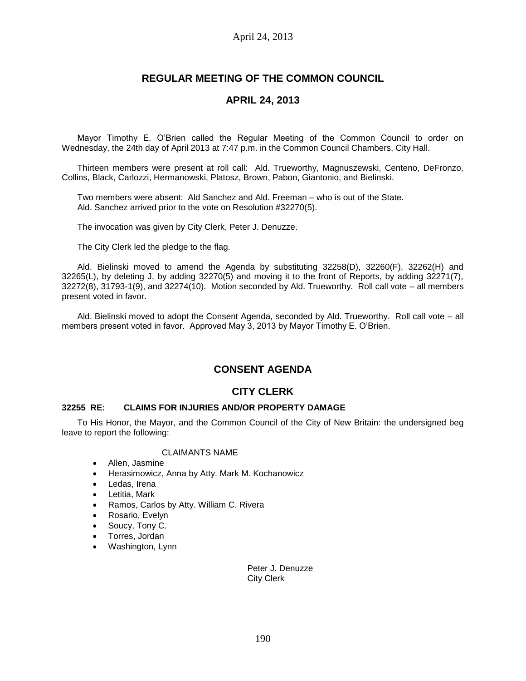# **REGULAR MEETING OF THE COMMON COUNCIL**

## **APRIL 24, 2013**

Mayor Timothy E. O'Brien called the Regular Meeting of the Common Council to order on Wednesday, the 24th day of April 2013 at 7:47 p.m. in the Common Council Chambers, City Hall.

Thirteen members were present at roll call: Ald. Trueworthy, Magnuszewski, Centeno, DeFronzo, Collins, Black, Carlozzi, Hermanowski, Platosz, Brown, Pabon, Giantonio, and Bielinski.

Two members were absent: Ald Sanchez and Ald. Freeman – who is out of the State. Ald. Sanchez arrived prior to the vote on Resolution #32270(5).

The invocation was given by City Clerk, Peter J. Denuzze.

The City Clerk led the pledge to the flag.

Ald. Bielinski moved to amend the Agenda by substituting 32258(D), 32260(F), 32262(H) and 32265(L), by deleting J, by adding 32270(5) and moving it to the front of Reports, by adding 32271(7), 32272(8), 31793-1(9), and 32274(10). Motion seconded by Ald. Trueworthy. Roll call vote – all members present voted in favor.

Ald. Bielinski moved to adopt the Consent Agenda, seconded by Ald. Trueworthy. Roll call vote – all members present voted in favor. Approved May 3, 2013 by Mayor Timothy E. O'Brien.

# **CONSENT AGENDA**

## **CITY CLERK**

## **32255 RE: CLAIMS FOR INJURIES AND/OR PROPERTY DAMAGE**

To His Honor, the Mayor, and the Common Council of the City of New Britain: the undersigned beg leave to report the following:

#### CLAIMANTS NAME

- Allen, Jasmine
- Herasimowicz, Anna by Atty. Mark M. Kochanowicz
- Ledas, Irena
- Letitia, Mark
- Ramos, Carlos by Atty. William C. Rivera
- Rosario, Evelyn
- Soucy, Tony C.
- Torres, Jordan
- Washington, Lynn

Peter J. Denuzze City Clerk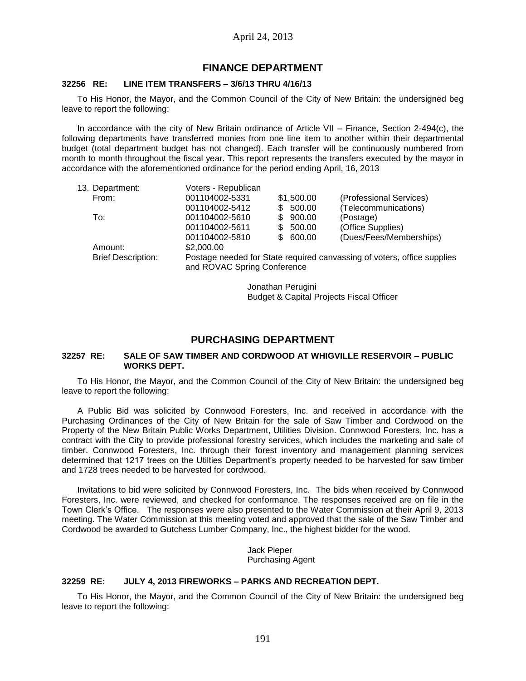## **FINANCE DEPARTMENT**

### **32256 RE: LINE ITEM TRANSFERS – 3/6/13 THRU 4/16/13**

To His Honor, the Mayor, and the Common Council of the City of New Britain: the undersigned beg leave to report the following:

In accordance with the city of New Britain ordinance of Article VII – Finance, Section 2-494(c), the following departments have transferred monies from one line item to another within their departmental budget (total department budget has not changed). Each transfer will be continuously numbered from month to month throughout the fiscal year. This report represents the transfers executed by the mayor in accordance with the aforementioned ordinance for the period ending April, 16, 2013

| 13. Department:           | Voters - Republican                                                                                    |            |        |                                              |  |
|---------------------------|--------------------------------------------------------------------------------------------------------|------------|--------|----------------------------------------------|--|
| From:                     | 001104002-5331                                                                                         |            |        | (Professional Services)                      |  |
|                           | 001104002-5412                                                                                         |            |        | (Telecommunications)                         |  |
| To:                       | 001104002-5610                                                                                         | \$.        |        | (Postage)                                    |  |
|                           | 001104002-5611                                                                                         | \$.        | 500.00 | (Office Supplies)                            |  |
|                           | 001104002-5810                                                                                         |            |        | (Dues/Fees/Memberships)                      |  |
| Amount:                   |                                                                                                        |            |        |                                              |  |
| <b>Brief Description:</b> | Postage needed for State required canvassing of voters, office supplies<br>and ROVAC Spring Conference |            |        |                                              |  |
|                           |                                                                                                        | \$2,000.00 |        | \$1,500.00<br>\$500.00<br>900.00<br>\$600.00 |  |

Jonathan Perugini Budget & Capital Projects Fiscal Officer

## **PURCHASING DEPARTMENT**

#### **32257 RE: SALE OF SAW TIMBER AND CORDWOOD AT WHIGVILLE RESERVOIR – PUBLIC WORKS DEPT.**

To His Honor, the Mayor, and the Common Council of the City of New Britain: the undersigned beg leave to report the following:

A Public Bid was solicited by Connwood Foresters, Inc. and received in accordance with the Purchasing Ordinances of the City of New Britain for the sale of Saw Timber and Cordwood on the Property of the New Britain Public Works Department, Utilities Division. Connwood Foresters, Inc. has a contract with the City to provide professional forestry services, which includes the marketing and sale of timber. Connwood Foresters, Inc. through their forest inventory and management planning services determined that 1217 trees on the Utilties Department's property needed to be harvested for saw timber and 1728 trees needed to be harvested for cordwood.

Invitations to bid were solicited by Connwood Foresters, Inc. The bids when received by Connwood Foresters, Inc. were reviewed, and checked for conformance. The responses received are on file in the Town Clerk's Office. The responses were also presented to the Water Commission at their April 9, 2013 meeting. The Water Commission at this meeting voted and approved that the sale of the Saw Timber and Cordwood be awarded to Gutchess Lumber Company, Inc., the highest bidder for the wood.

> Jack Pieper Purchasing Agent

## **32259 RE: JULY 4, 2013 FIREWORKS – PARKS AND RECREATION DEPT.**

To His Honor, the Mayor, and the Common Council of the City of New Britain: the undersigned beg leave to report the following: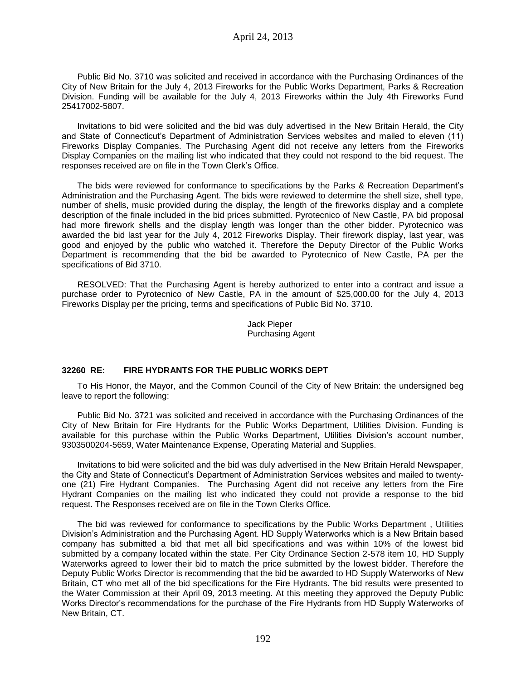Public Bid No. 3710 was solicited and received in accordance with the Purchasing Ordinances of the City of New Britain for the July 4, 2013 Fireworks for the Public Works Department, Parks & Recreation Division. Funding will be available for the July 4, 2013 Fireworks within the July 4th Fireworks Fund 25417002-5807.

Invitations to bid were solicited and the bid was duly advertised in the New Britain Herald, the City and State of Connecticut's Department of Administration Services websites and mailed to eleven (11) Fireworks Display Companies. The Purchasing Agent did not receive any letters from the Fireworks Display Companies on the mailing list who indicated that they could not respond to the bid request. The responses received are on file in the Town Clerk's Office.

The bids were reviewed for conformance to specifications by the Parks & Recreation Department's Administration and the Purchasing Agent. The bids were reviewed to determine the shell size, shell type, number of shells, music provided during the display, the length of the fireworks display and a complete description of the finale included in the bid prices submitted. Pyrotecnico of New Castle, PA bid proposal had more firework shells and the display length was longer than the other bidder. Pyrotecnico was awarded the bid last year for the July 4, 2012 Fireworks Display. Their firework display, last year, was good and enjoyed by the public who watched it. Therefore the Deputy Director of the Public Works Department is recommending that the bid be awarded to Pyrotecnico of New Castle, PA per the specifications of Bid 3710.

RESOLVED: That the Purchasing Agent is hereby authorized to enter into a contract and issue a purchase order to Pyrotecnico of New Castle, PA in the amount of \$25,000.00 for the July 4, 2013 Fireworks Display per the pricing, terms and specifications of Public Bid No. 3710.

> Jack Pieper Purchasing Agent

### **32260 RE: FIRE HYDRANTS FOR THE PUBLIC WORKS DEPT**

To His Honor, the Mayor, and the Common Council of the City of New Britain: the undersigned beg leave to report the following:

Public Bid No. 3721 was solicited and received in accordance with the Purchasing Ordinances of the City of New Britain for Fire Hydrants for the Public Works Department, Utilities Division. Funding is available for this purchase within the Public Works Department, Utilities Division's account number, 9303500204-5659, Water Maintenance Expense, Operating Material and Supplies.

Invitations to bid were solicited and the bid was duly advertised in the New Britain Herald Newspaper, the City and State of Connecticut's Department of Administration Services websites and mailed to twentyone (21) Fire Hydrant Companies. The Purchasing Agent did not receive any letters from the Fire Hydrant Companies on the mailing list who indicated they could not provide a response to the bid request. The Responses received are on file in the Town Clerks Office.

The bid was reviewed for conformance to specifications by the Public Works Department , Utilities Division's Administration and the Purchasing Agent. HD Supply Waterworks which is a New Britain based company has submitted a bid that met all bid specifications and was within 10% of the lowest bid submitted by a company located within the state. Per City Ordinance Section 2-578 item 10, HD Supply Waterworks agreed to lower their bid to match the price submitted by the lowest bidder. Therefore the Deputy Public Works Director is recommending that the bid be awarded to HD Supply Waterworks of New Britain, CT who met all of the bid specifications for the Fire Hydrants. The bid results were presented to the Water Commission at their April 09, 2013 meeting. At this meeting they approved the Deputy Public Works Director's recommendations for the purchase of the Fire Hydrants from HD Supply Waterworks of New Britain, CT.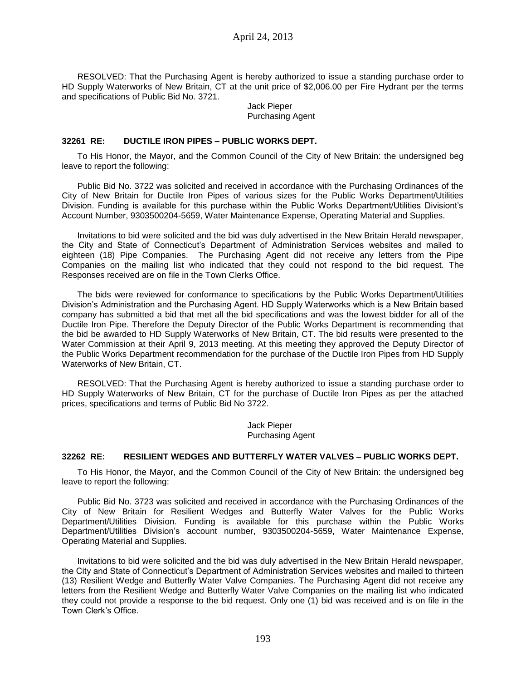RESOLVED: That the Purchasing Agent is hereby authorized to issue a standing purchase order to HD Supply Waterworks of New Britain, CT at the unit price of \$2,006.00 per Fire Hydrant per the terms and specifications of Public Bid No. 3721.

#### Jack Pieper Purchasing Agent

## **32261 RE: DUCTILE IRON PIPES – PUBLIC WORKS DEPT.**

To His Honor, the Mayor, and the Common Council of the City of New Britain: the undersigned beg leave to report the following:

Public Bid No. 3722 was solicited and received in accordance with the Purchasing Ordinances of the City of New Britain for Ductile Iron Pipes of various sizes for the Public Works Department/Utilities Division. Funding is available for this purchase within the Public Works Department/Utilities Divisiont's Account Number, 9303500204-5659, Water Maintenance Expense, Operating Material and Supplies.

Invitations to bid were solicited and the bid was duly advertised in the New Britain Herald newspaper, the City and State of Connecticut's Department of Administration Services websites and mailed to eighteen (18) Pipe Companies. The Purchasing Agent did not receive any letters from the Pipe Companies on the mailing list who indicated that they could not respond to the bid request. The Responses received are on file in the Town Clerks Office.

The bids were reviewed for conformance to specifications by the Public Works Department/Utilities Division's Administration and the Purchasing Agent. HD Supply Waterworks which is a New Britain based company has submitted a bid that met all the bid specifications and was the lowest bidder for all of the Ductile Iron Pipe. Therefore the Deputy Director of the Public Works Department is recommending that the bid be awarded to HD Supply Waterworks of New Britain, CT. The bid results were presented to the Water Commission at their April 9, 2013 meeting. At this meeting they approved the Deputy Director of the Public Works Department recommendation for the purchase of the Ductile Iron Pipes from HD Supply Waterworks of New Britain, CT.

RESOLVED: That the Purchasing Agent is hereby authorized to issue a standing purchase order to HD Supply Waterworks of New Britain, CT for the purchase of Ductile Iron Pipes as per the attached prices, specifications and terms of Public Bid No 3722.

> Jack Pieper Purchasing Agent

### **32262 RE: RESILIENT WEDGES AND BUTTERFLY WATER VALVES – PUBLIC WORKS DEPT.**

To His Honor, the Mayor, and the Common Council of the City of New Britain: the undersigned beg leave to report the following:

Public Bid No. 3723 was solicited and received in accordance with the Purchasing Ordinances of the City of New Britain for Resilient Wedges and Butterfly Water Valves for the Public Works Department/Utilities Division. Funding is available for this purchase within the Public Works Department/Utilities Division's account number, 9303500204-5659, Water Maintenance Expense, Operating Material and Supplies.

Invitations to bid were solicited and the bid was duly advertised in the New Britain Herald newspaper, the City and State of Connecticut's Department of Administration Services websites and mailed to thirteen (13) Resilient Wedge and Butterfly Water Valve Companies. The Purchasing Agent did not receive any letters from the Resilient Wedge and Butterfly Water Valve Companies on the mailing list who indicated they could not provide a response to the bid request. Only one (1) bid was received and is on file in the Town Clerk's Office.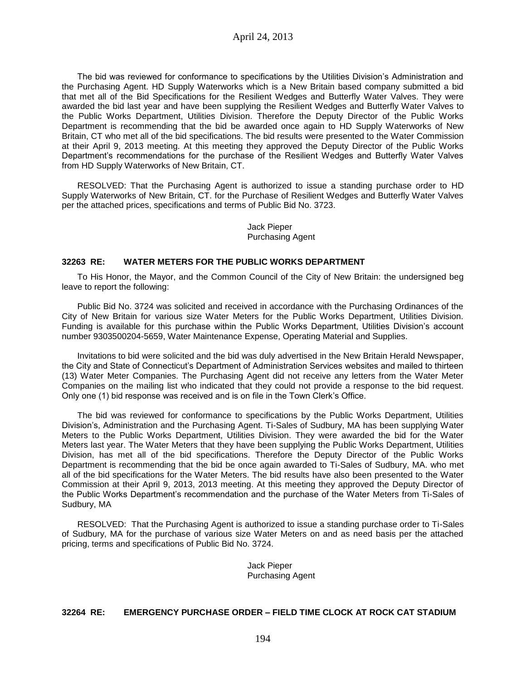The bid was reviewed for conformance to specifications by the Utilities Division's Administration and the Purchasing Agent. HD Supply Waterworks which is a New Britain based company submitted a bid that met all of the Bid Specifications for the Resilient Wedges and Butterfly Water Valves. They were awarded the bid last year and have been supplying the Resilient Wedges and Butterfly Water Valves to the Public Works Department, Utilities Division. Therefore the Deputy Director of the Public Works Department is recommending that the bid be awarded once again to HD Supply Waterworks of New Britain, CT who met all of the bid specifications. The bid results were presented to the Water Commission at their April 9, 2013 meeting. At this meeting they approved the Deputy Director of the Public Works Department's recommendations for the purchase of the Resilient Wedges and Butterfly Water Valves from HD Supply Waterworks of New Britain, CT.

RESOLVED: That the Purchasing Agent is authorized to issue a standing purchase order to HD Supply Waterworks of New Britain, CT. for the Purchase of Resilient Wedges and Butterfly Water Valves per the attached prices, specifications and terms of Public Bid No. 3723.

## Jack Pieper Purchasing Agent

## **32263 RE: WATER METERS FOR THE PUBLIC WORKS DEPARTMENT**

To His Honor, the Mayor, and the Common Council of the City of New Britain: the undersigned beg leave to report the following:

Public Bid No. 3724 was solicited and received in accordance with the Purchasing Ordinances of the City of New Britain for various size Water Meters for the Public Works Department, Utilities Division. Funding is available for this purchase within the Public Works Department, Utilities Division's account number 9303500204-5659, Water Maintenance Expense, Operating Material and Supplies.

Invitations to bid were solicited and the bid was duly advertised in the New Britain Herald Newspaper, the City and State of Connecticut's Department of Administration Services websites and mailed to thirteen (13) Water Meter Companies. The Purchasing Agent did not receive any letters from the Water Meter Companies on the mailing list who indicated that they could not provide a response to the bid request. Only one (1) bid response was received and is on file in the Town Clerk's Office.

The bid was reviewed for conformance to specifications by the Public Works Department, Utilities Division's, Administration and the Purchasing Agent. Ti-Sales of Sudbury, MA has been supplying Water Meters to the Public Works Department, Utilities Division. They were awarded the bid for the Water Meters last year. The Water Meters that they have been supplying the Public Works Department, Utilities Division, has met all of the bid specifications. Therefore the Deputy Director of the Public Works Department is recommending that the bid be once again awarded to Ti-Sales of Sudbury, MA. who met all of the bid specifications for the Water Meters. The bid results have also been presented to the Water Commission at their April 9, 2013, 2013 meeting. At this meeting they approved the Deputy Director of the Public Works Department's recommendation and the purchase of the Water Meters from Ti-Sales of Sudbury, MA

RESOLVED: That the Purchasing Agent is authorized to issue a standing purchase order to Ti-Sales of Sudbury, MA for the purchase of various size Water Meters on and as need basis per the attached pricing, terms and specifications of Public Bid No. 3724.

> Jack Pieper Purchasing Agent

## **32264 RE: EMERGENCY PURCHASE ORDER – FIELD TIME CLOCK AT ROCK CAT STADIUM**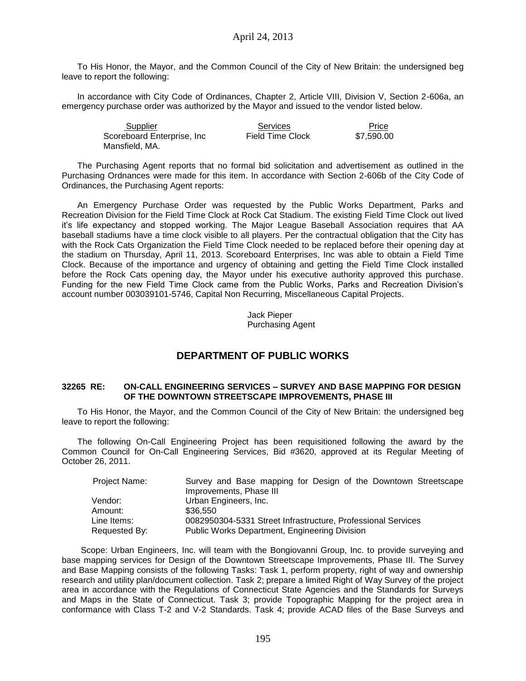To His Honor, the Mayor, and the Common Council of the City of New Britain: the undersigned beg leave to report the following:

In accordance with City Code of Ordinances, Chapter 2, Article VIII, Division V, Section 2-606a, an emergency purchase order was authorized by the Mayor and issued to the vendor listed below.

| Supplier                   | Services                | Price      |
|----------------------------|-------------------------|------------|
| Scoreboard Enterprise, Inc | <b>Field Time Clock</b> | \$7.590.00 |
| Mansfield, MA.             |                         |            |

The Purchasing Agent reports that no formal bid solicitation and advertisement as outlined in the Purchasing Ordnances were made for this item. In accordance with Section 2-606b of the City Code of Ordinances, the Purchasing Agent reports:

An Emergency Purchase Order was requested by the Public Works Department, Parks and Recreation Division for the Field Time Clock at Rock Cat Stadium. The existing Field Time Clock out lived it's life expectancy and stopped working. The Major League Baseball Association requires that AA baseball stadiums have a time clock visible to all players. Per the contractual obligation that the City has with the Rock Cats Organization the Field Time Clock needed to be replaced before their opening day at the stadium on Thursday, April 11, 2013. Scoreboard Enterprises, Inc was able to obtain a Field Time Clock. Because of the importance and urgency of obtaining and getting the Field Time Clock installed before the Rock Cats opening day, the Mayor under his executive authority approved this purchase. Funding for the new Field Time Clock came from the Public Works, Parks and Recreation Division's account number 003039101-5746, Capital Non Recurring, Miscellaneous Capital Projects.

> Jack Pieper Purchasing Agent

# **DEPARTMENT OF PUBLIC WORKS**

### **32265 RE: ON-CALL ENGINEERING SERVICES – SURVEY AND BASE MAPPING FOR DESIGN OF THE DOWNTOWN STREETSCAPE IMPROVEMENTS, PHASE III**

To His Honor, the Mayor, and the Common Council of the City of New Britain: the undersigned beg leave to report the following:

The following On-Call Engineering Project has been requisitioned following the award by the Common Council for On-Call Engineering Services, Bid #3620, approved at its Regular Meeting of October 26, 2011.

| Project Name: | Survey and Base mapping for Design of the Downtown Streetscape |  |  |  |
|---------------|----------------------------------------------------------------|--|--|--|
|               | Improvements, Phase III                                        |  |  |  |
| Vendor:       | Urban Engineers, Inc.                                          |  |  |  |
| Amount:       | \$36,550                                                       |  |  |  |
| Line Items:   | 0082950304-5331 Street Infrastructure, Professional Services   |  |  |  |
| Requested By: | Public Works Department, Engineering Division                  |  |  |  |

 Scope: Urban Engineers, Inc. will team with the Bongiovanni Group, Inc. to provide surveying and base mapping services for Design of the Downtown Streetscape Improvements, Phase III. The Survey and Base Mapping consists of the following Tasks: Task 1, perform property, right of way and ownership research and utility plan/document collection. Task 2; prepare a limited Right of Way Survey of the project area in accordance with the Regulations of Connecticut State Agencies and the Standards for Surveys and Maps in the State of Connecticut. Task 3; provide Topographic Mapping for the project area in conformance with Class T-2 and V-2 Standards. Task 4; provide ACAD files of the Base Surveys and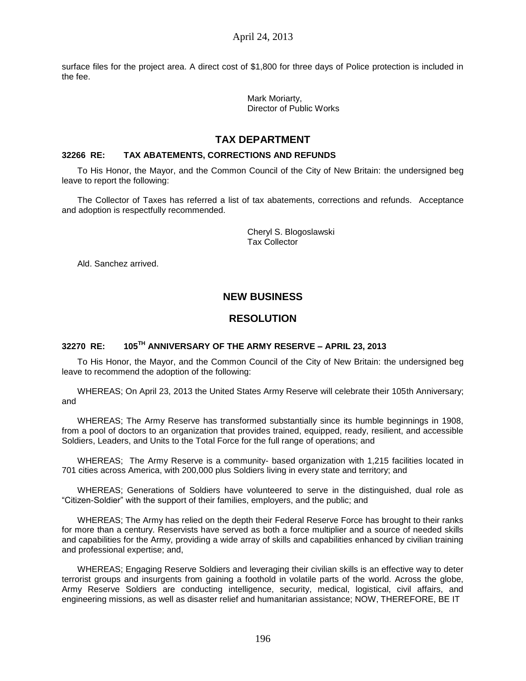surface files for the project area. A direct cost of \$1,800 for three days of Police protection is included in the fee.

> Mark Moriarty, Director of Public Works

# **TAX DEPARTMENT**

## **32266 RE: TAX ABATEMENTS, CORRECTIONS AND REFUNDS**

To His Honor, the Mayor, and the Common Council of the City of New Britain: the undersigned beg leave to report the following:

The Collector of Taxes has referred a list of tax abatements, corrections and refunds. Acceptance and adoption is respectfully recommended.

> Cheryl S. Blogoslawski Tax Collector

Ald. Sanchez arrived.

# **NEW BUSINESS**

# **RESOLUTION**

# **32270 RE: 105TH ANNIVERSARY OF THE ARMY RESERVE – APRIL 23, 2013**

To His Honor, the Mayor, and the Common Council of the City of New Britain: the undersigned beg leave to recommend the adoption of the following:

WHEREAS; On April 23, 2013 the United States Army Reserve will celebrate their 105th Anniversary; and

WHEREAS; The Army Reserve has transformed substantially since its humble beginnings in 1908, from a pool of doctors to an organization that provides trained, equipped, ready, resilient, and accessible Soldiers, Leaders, and Units to the Total Force for the full range of operations; and

WHEREAS; The Army Reserve is a community- based organization with 1,215 facilities located in 701 cities across America, with 200,000 plus Soldiers living in every state and territory; and

WHEREAS; Generations of Soldiers have volunteered to serve in the distinguished, dual role as "Citizen-Soldier" with the support of their families, employers, and the public; and

WHEREAS; The Army has relied on the depth their Federal Reserve Force has brought to their ranks for more than a century. Reservists have served as both a force multiplier and a source of needed skills and capabilities for the Army, providing a wide array of skills and capabilities enhanced by civilian training and professional expertise; and,

WHEREAS; Engaging Reserve Soldiers and leveraging their civilian skills is an effective way to deter terrorist groups and insurgents from gaining a foothold in volatile parts of the world. Across the globe, Army Reserve Soldiers are conducting intelligence, security, medical, logistical, civil affairs, and engineering missions, as well as disaster relief and humanitarian assistance; NOW, THEREFORE, BE IT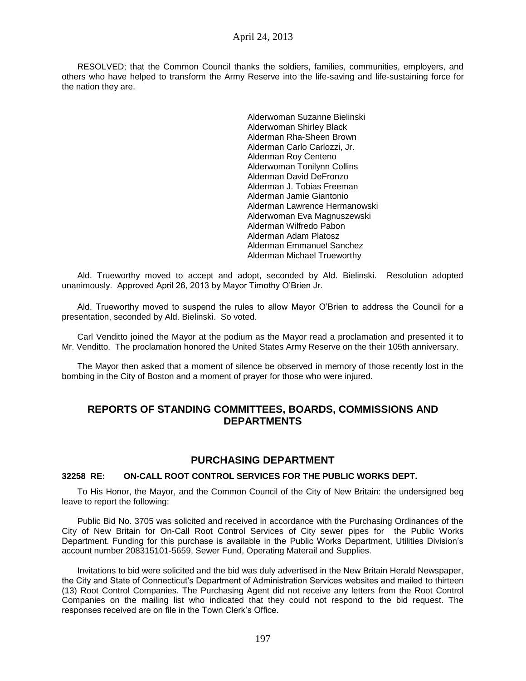RESOLVED; that the Common Council thanks the soldiers, families, communities, employers, and others who have helped to transform the Army Reserve into the life-saving and life-sustaining force for the nation they are.

> Alderwoman Suzanne Bielinski Alderwoman Shirley Black Alderman Rha-Sheen Brown Alderman Carlo Carlozzi, Jr. Alderman Roy Centeno Alderwoman Tonilynn Collins Alderman David DeFronzo Alderman J. Tobias Freeman Alderman Jamie Giantonio Alderman Lawrence Hermanowski Alderwoman Eva Magnuszewski Alderman Wilfredo Pabon Alderman Adam Platosz Alderman Emmanuel Sanchez Alderman Michael Trueworthy

Ald. Trueworthy moved to accept and adopt, seconded by Ald. Bielinski. Resolution adopted unanimously. Approved April 26, 2013 by Mayor Timothy O'Brien Jr.

Ald. Trueworthy moved to suspend the rules to allow Mayor O'Brien to address the Council for a presentation, seconded by Ald. Bielinski. So voted.

Carl Venditto joined the Mayor at the podium as the Mayor read a proclamation and presented it to Mr. Venditto. The proclamation honored the United States Army Reserve on the their 105th anniversary.

The Mayor then asked that a moment of silence be observed in memory of those recently lost in the bombing in the City of Boston and a moment of prayer for those who were injured.

## **REPORTS OF STANDING COMMITTEES, BOARDS, COMMISSIONS AND DEPARTMENTS**

## **PURCHASING DEPARTMENT**

### **32258 RE: ON-CALL ROOT CONTROL SERVICES FOR THE PUBLIC WORKS DEPT.**

To His Honor, the Mayor, and the Common Council of the City of New Britain: the undersigned beg leave to report the following:

Public Bid No. 3705 was solicited and received in accordance with the Purchasing Ordinances of the City of New Britain for On-Call Root Control Services of City sewer pipes for the Public Works Department. Funding for this purchase is available in the Public Works Department, Utilities Division's account number 208315101-5659, Sewer Fund, Operating Materail and Supplies.

Invitations to bid were solicited and the bid was duly advertised in the New Britain Herald Newspaper, the City and State of Connecticut's Department of Administration Services websites and mailed to thirteen (13) Root Control Companies. The Purchasing Agent did not receive any letters from the Root Control Companies on the mailing list who indicated that they could not respond to the bid request. The responses received are on file in the Town Clerk's Office.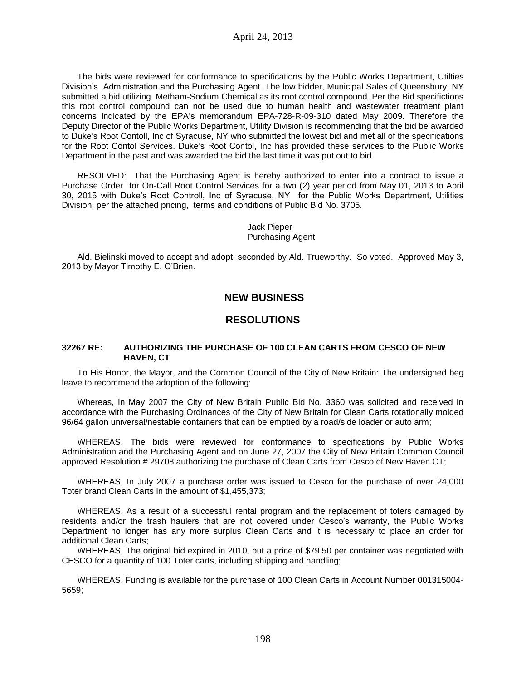The bids were reviewed for conformance to specifications by the Public Works Department, Utilties Division's Administration and the Purchasing Agent. The low bidder, Municipal Sales of Queensbury, NY submitted a bid utilizing Metham-Sodium Chemical as its root control compound. Per the Bid specifictions this root control compound can not be used due to human health and wastewater treatment plant concerns indicated by the EPA's memorandum EPA-728-R-09-310 dated May 2009. Therefore the Deputy Director of the Public Works Department, Utility Division is recommending that the bid be awarded to Duke's Root Contoll, Inc of Syracuse, NY who submitted the lowest bid and met all of the specifications for the Root Contol Services. Duke's Root Contol, Inc has provided these services to the Public Works Department in the past and was awarded the bid the last time it was put out to bid.

RESOLVED: That the Purchasing Agent is hereby authorized to enter into a contract to issue a Purchase Order for On-Call Root Control Services for a two (2) year period from May 01, 2013 to April 30, 2015 with Duke's Root Controll, Inc of Syracuse, NY for the Public Works Department, Utilities Division, per the attached pricing, terms and conditions of Public Bid No. 3705.

> Jack Pieper Purchasing Agent

Ald. Bielinski moved to accept and adopt, seconded by Ald. Trueworthy. So voted. Approved May 3, 2013 by Mayor Timothy E. O'Brien.

# **NEW BUSINESS**

## **RESOLUTIONS**

#### **32267 RE: AUTHORIZING THE PURCHASE OF 100 CLEAN CARTS FROM CESCO OF NEW HAVEN, CT**

To His Honor, the Mayor, and the Common Council of the City of New Britain: The undersigned beg leave to recommend the adoption of the following:

Whereas, In May 2007 the City of New Britain Public Bid No. 3360 was solicited and received in accordance with the Purchasing Ordinances of the City of New Britain for Clean Carts rotationally molded 96/64 gallon universal/nestable containers that can be emptied by a road/side loader or auto arm;

WHEREAS, The bids were reviewed for conformance to specifications by Public Works Administration and the Purchasing Agent and on June 27, 2007 the City of New Britain Common Council approved Resolution # 29708 authorizing the purchase of Clean Carts from Cesco of New Haven CT;

WHEREAS, In July 2007 a purchase order was issued to Cesco for the purchase of over 24,000 Toter brand Clean Carts in the amount of \$1,455,373;

WHEREAS, As a result of a successful rental program and the replacement of toters damaged by residents and/or the trash haulers that are not covered under Cesco's warranty, the Public Works Department no longer has any more surplus Clean Carts and it is necessary to place an order for additional Clean Carts;

WHEREAS, The original bid expired in 2010, but a price of \$79.50 per container was negotiated with CESCO for a quantity of 100 Toter carts, including shipping and handling;

WHEREAS, Funding is available for the purchase of 100 Clean Carts in Account Number 001315004- 5659;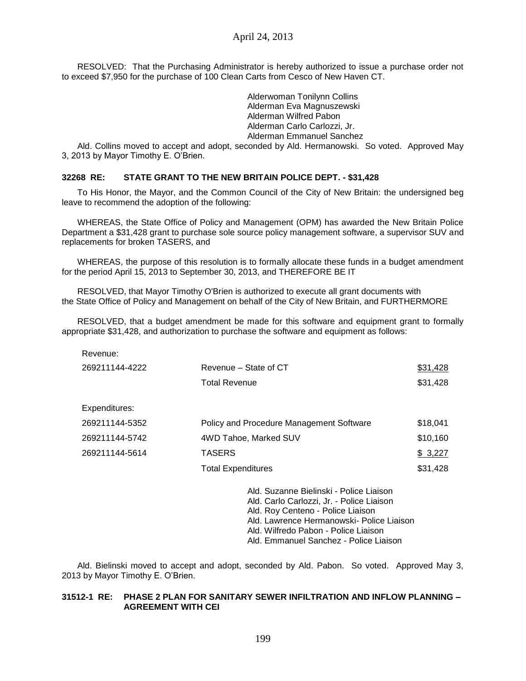RESOLVED: That the Purchasing Administrator is hereby authorized to issue a purchase order not to exceed \$7,950 for the purchase of 100 Clean Carts from Cesco of New Haven CT.

> Alderwoman Tonilynn Collins Alderman Eva Magnuszewski Alderman Wilfred Pabon Alderman Carlo Carlozzi, Jr. Alderman Emmanuel Sanchez

Ald. Collins moved to accept and adopt, seconded by Ald. Hermanowski. So voted. Approved May 3, 2013 by Mayor Timothy E. O'Brien.

## **32268 RE: STATE GRANT TO THE NEW BRITAIN POLICE DEPT. - \$31,428**

To His Honor, the Mayor, and the Common Council of the City of New Britain: the undersigned beg leave to recommend the adoption of the following:

WHEREAS, the State Office of Policy and Management (OPM) has awarded the New Britain Police Department a \$31,428 grant to purchase sole source policy management software, a supervisor SUV and replacements for broken TASERS, and

WHEREAS, the purpose of this resolution is to formally allocate these funds in a budget amendment for the period April 15, 2013 to September 30, 2013, and THEREFORE BE IT

RESOLVED, that Mayor Timothy O'Brien is authorized to execute all grant documents with the State Office of Policy and Management on behalf of the City of New Britain, and FURTHERMORE

RESOLVED, that a budget amendment be made for this software and equipment grant to formally appropriate \$31,428, and authorization to purchase the software and equipment as follows:

| Revenue:       |                                                                                                                                                                        |          |
|----------------|------------------------------------------------------------------------------------------------------------------------------------------------------------------------|----------|
| 269211144-4222 | Revenue – State of CT                                                                                                                                                  | \$31,428 |
|                | <b>Total Revenue</b>                                                                                                                                                   | \$31,428 |
| Expenditures:  |                                                                                                                                                                        |          |
| 269211144-5352 | <b>Policy and Procedure Management Software</b>                                                                                                                        | \$18,041 |
| 269211144-5742 | 4WD Tahoe, Marked SUV                                                                                                                                                  | \$10,160 |
| 269211144-5614 | <b>TASERS</b>                                                                                                                                                          | \$3,227  |
|                | <b>Total Expenditures</b>                                                                                                                                              | \$31,428 |
|                | Ald. Suzanne Bielinski - Police Liaison<br>Ald. Carlo Carlozzi, Jr. - Police Liaison<br>Ald. Roy Centeno - Police Liaison<br>Ald. Lawrence Hermanowski- Police Liaison |          |

Ald. Bielinski moved to accept and adopt, seconded by Ald. Pabon. So voted. Approved May 3, 2013 by Mayor Timothy E. O'Brien.

Ald. Wilfredo Pabon - Police Liaison Ald. Emmanuel Sanchez - Police Liaison

## **31512-1 RE: PHASE 2 PLAN FOR SANITARY SEWER INFILTRATION AND INFLOW PLANNING – AGREEMENT WITH CEI**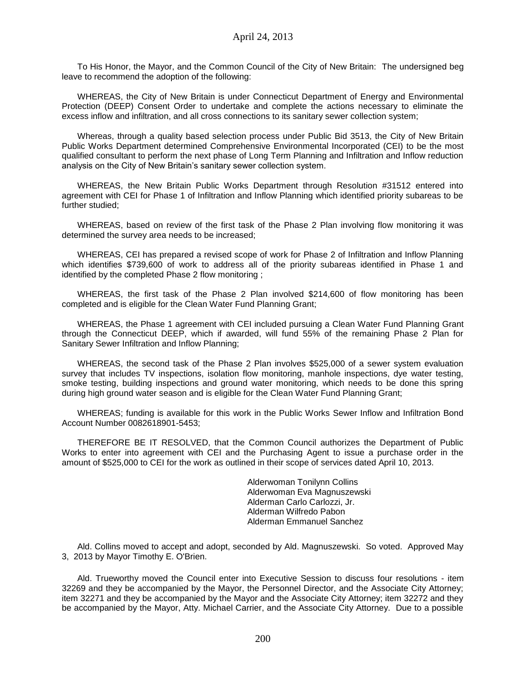To His Honor, the Mayor, and the Common Council of the City of New Britain: The undersigned beg leave to recommend the adoption of the following:

WHEREAS, the City of New Britain is under Connecticut Department of Energy and Environmental Protection (DEEP) Consent Order to undertake and complete the actions necessary to eliminate the excess inflow and infiltration, and all cross connections to its sanitary sewer collection system;

Whereas, through a quality based selection process under Public Bid 3513, the City of New Britain Public Works Department determined Comprehensive Environmental Incorporated (CEI) to be the most qualified consultant to perform the next phase of Long Term Planning and Infiltration and Inflow reduction analysis on the City of New Britain's sanitary sewer collection system.

WHEREAS, the New Britain Public Works Department through Resolution #31512 entered into agreement with CEI for Phase 1 of Infiltration and Inflow Planning which identified priority subareas to be further studied;

WHEREAS, based on review of the first task of the Phase 2 Plan involving flow monitoring it was determined the survey area needs to be increased;

WHEREAS, CEI has prepared a revised scope of work for Phase 2 of Infiltration and Inflow Planning which identifies \$739,600 of work to address all of the priority subareas identified in Phase 1 and identified by the completed Phase 2 flow monitoring ;

WHEREAS, the first task of the Phase 2 Plan involved \$214,600 of flow monitoring has been completed and is eligible for the Clean Water Fund Planning Grant;

WHEREAS, the Phase 1 agreement with CEI included pursuing a Clean Water Fund Planning Grant through the Connecticut DEEP, which if awarded, will fund 55% of the remaining Phase 2 Plan for Sanitary Sewer Infiltration and Inflow Planning;

WHEREAS, the second task of the Phase 2 Plan involves \$525,000 of a sewer system evaluation survey that includes TV inspections, isolation flow monitoring, manhole inspections, dye water testing, smoke testing, building inspections and ground water monitoring, which needs to be done this spring during high ground water season and is eligible for the Clean Water Fund Planning Grant;

WHEREAS; funding is available for this work in the Public Works Sewer Inflow and Infiltration Bond Account Number 0082618901-5453;

THEREFORE BE IT RESOLVED, that the Common Council authorizes the Department of Public Works to enter into agreement with CEI and the Purchasing Agent to issue a purchase order in the amount of \$525,000 to CEI for the work as outlined in their scope of services dated April 10, 2013.

> Alderwoman Tonilynn Collins Alderwoman Eva Magnuszewski Alderman Carlo Carlozzi, Jr. Alderman Wilfredo Pabon Alderman Emmanuel Sanchez

Ald. Collins moved to accept and adopt, seconded by Ald. Magnuszewski. So voted. Approved May 3, 2013 by Mayor Timothy E. O'Brien.

Ald. Trueworthy moved the Council enter into Executive Session to discuss four resolutions - item 32269 and they be accompanied by the Mayor, the Personnel Director, and the Associate City Attorney; item 32271 and they be accompanied by the Mayor and the Associate City Attorney; item 32272 and they be accompanied by the Mayor, Atty. Michael Carrier, and the Associate City Attorney. Due to a possible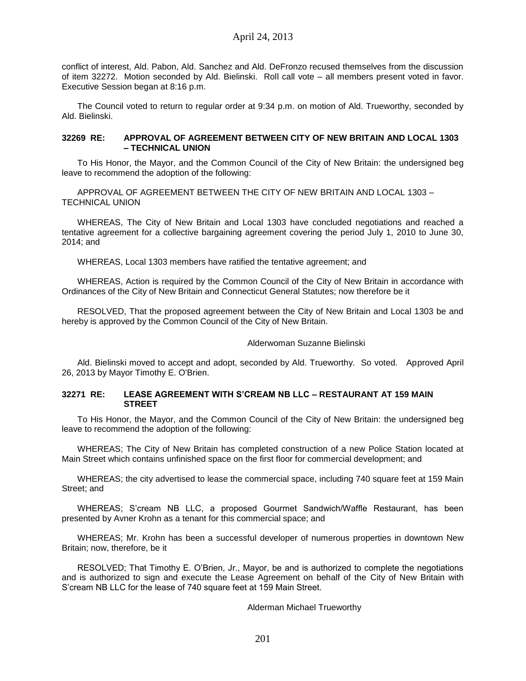conflict of interest, Ald. Pabon, Ald. Sanchez and Ald. DeFronzo recused themselves from the discussion of item 32272. Motion seconded by Ald. Bielinski. Roll call vote – all members present voted in favor. Executive Session began at 8:16 p.m.

The Council voted to return to regular order at 9:34 p.m. on motion of Ald. Trueworthy, seconded by Ald. Bielinski.

### **32269 RE: APPROVAL OF AGREEMENT BETWEEN CITY OF NEW BRITAIN AND LOCAL 1303 – TECHNICAL UNION**

To His Honor, the Mayor, and the Common Council of the City of New Britain: the undersigned beg leave to recommend the adoption of the following:

APPROVAL OF AGREEMENT BETWEEN THE CITY OF NEW BRITAIN AND LOCAL 1303 – TECHNICAL UNION

WHEREAS, The City of New Britain and Local 1303 have concluded negotiations and reached a tentative agreement for a collective bargaining agreement covering the period July 1, 2010 to June 30, 2014; and

WHEREAS, Local 1303 members have ratified the tentative agreement; and

WHEREAS, Action is required by the Common Council of the City of New Britain in accordance with Ordinances of the City of New Britain and Connecticut General Statutes; now therefore be it

RESOLVED, That the proposed agreement between the City of New Britain and Local 1303 be and hereby is approved by the Common Council of the City of New Britain.

### Alderwoman Suzanne Bielinski

Ald. Bielinski moved to accept and adopt, seconded by Ald. Trueworthy. So voted. Approved April 26, 2013 by Mayor Timothy E. O'Brien.

### **32271 RE: LEASE AGREEMENT WITH S'CREAM NB LLC – RESTAURANT AT 159 MAIN STREET**

To His Honor, the Mayor, and the Common Council of the City of New Britain: the undersigned beg leave to recommend the adoption of the following:

WHEREAS; The City of New Britain has completed construction of a new Police Station located at Main Street which contains unfinished space on the first floor for commercial development; and

WHEREAS; the city advertised to lease the commercial space, including 740 square feet at 159 Main Street; and

WHEREAS; S'cream NB LLC, a proposed Gourmet Sandwich/Waffle Restaurant, has been presented by Avner Krohn as a tenant for this commercial space; and

WHEREAS; Mr. Krohn has been a successful developer of numerous properties in downtown New Britain; now, therefore, be it

RESOLVED; That Timothy E. O'Brien, Jr., Mayor, be and is authorized to complete the negotiations and is authorized to sign and execute the Lease Agreement on behalf of the City of New Britain with S'cream NB LLC for the lease of 740 square feet at 159 Main Street.

### Alderman Michael Trueworthy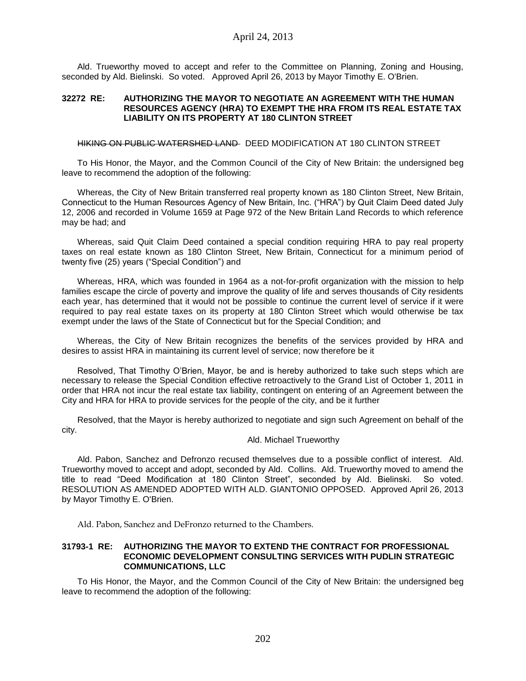Ald. Trueworthy moved to accept and refer to the Committee on Planning, Zoning and Housing, seconded by Ald. Bielinski. So voted. Approved April 26, 2013 by Mayor Timothy E. O'Brien.

### **32272 RE: AUTHORIZING THE MAYOR TO NEGOTIATE AN AGREEMENT WITH THE HUMAN RESOURCES AGENCY (HRA) TO EXEMPT THE HRA FROM ITS REAL ESTATE TAX LIABILITY ON ITS PROPERTY AT 180 CLINTON STREET**

### HIKING ON PUBLIC WATERSHED LAND DEED MODIFICATION AT 180 CLINTON STREET

To His Honor, the Mayor, and the Common Council of the City of New Britain: the undersigned beg leave to recommend the adoption of the following:

Whereas, the City of New Britain transferred real property known as 180 Clinton Street, New Britain, Connecticut to the Human Resources Agency of New Britain, Inc. ("HRA") by Quit Claim Deed dated July 12, 2006 and recorded in Volume 1659 at Page 972 of the New Britain Land Records to which reference may be had; and

Whereas, said Quit Claim Deed contained a special condition requiring HRA to pay real property taxes on real estate known as 180 Clinton Street, New Britain, Connecticut for a minimum period of twenty five (25) years ("Special Condition") and

Whereas, HRA, which was founded in 1964 as a not-for-profit organization with the mission to help families escape the circle of poverty and improve the quality of life and serves thousands of City residents each year, has determined that it would not be possible to continue the current level of service if it were required to pay real estate taxes on its property at 180 Clinton Street which would otherwise be tax exempt under the laws of the State of Connecticut but for the Special Condition; and

Whereas, the City of New Britain recognizes the benefits of the services provided by HRA and desires to assist HRA in maintaining its current level of service; now therefore be it

Resolved, That Timothy O'Brien, Mayor, be and is hereby authorized to take such steps which are necessary to release the Special Condition effective retroactively to the Grand List of October 1, 2011 in order that HRA not incur the real estate tax liability, contingent on entering of an Agreement between the City and HRA for HRA to provide services for the people of the city, and be it further

Resolved, that the Mayor is hereby authorized to negotiate and sign such Agreement on behalf of the city.

#### Ald. Michael Trueworthy

Ald. Pabon, Sanchez and Defronzo recused themselves due to a possible conflict of interest. Ald. Trueworthy moved to accept and adopt, seconded by Ald. Collins. Ald. Trueworthy moved to amend the title to read "Deed Modification at 180 Clinton Street", seconded by Ald. Bielinski. So voted. RESOLUTION AS AMENDED ADOPTED WITH ALD. GIANTONIO OPPOSED. Approved April 26, 2013 by Mayor Timothy E. O'Brien.

Ald. Pabon, Sanchez and DeFronzo returned to the Chambers.

### **31793-1 RE: AUTHORIZING THE MAYOR TO EXTEND THE CONTRACT FOR PROFESSIONAL ECONOMIC DEVELOPMENT CONSULTING SERVICES WITH PUDLIN STRATEGIC COMMUNICATIONS, LLC**

To His Honor, the Mayor, and the Common Council of the City of New Britain: the undersigned beg leave to recommend the adoption of the following: